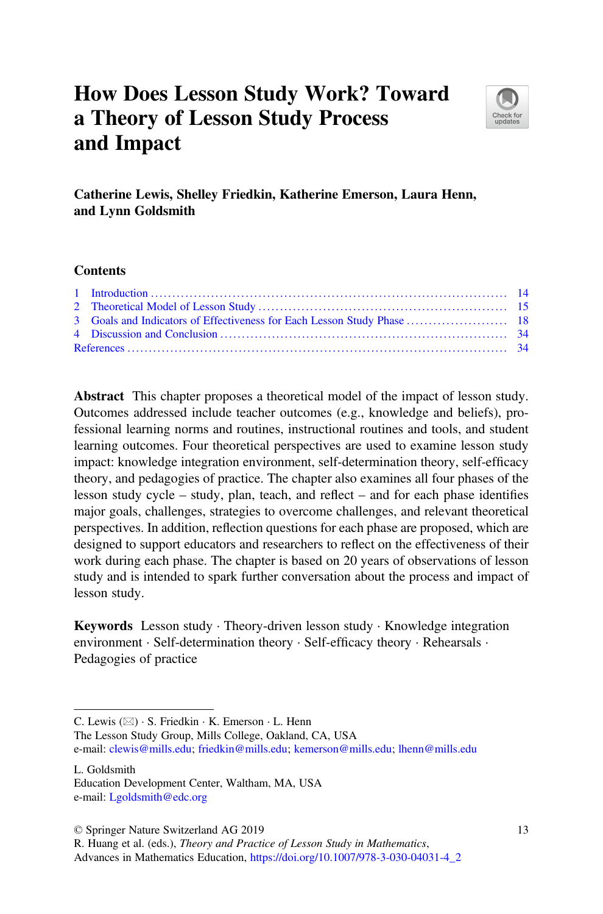# How Does Lesson Study Work? Toward a Theory of Lesson Study Process and Impact



Catherine Lewis, Shelley Friedkin, Katherine Emerson, Laura Henn, and Lynn Goldsmith

#### **Contents**

Abstract This chapter proposes a theoretical model of the impact of lesson study. Outcomes addressed include teacher outcomes (e.g., knowledge and beliefs), professional learning norms and routines, instructional routines and tools, and student learning outcomes. Four theoretical perspectives are used to examine lesson study impact: knowledge integration environment, self-determination theory, self-efficacy theory, and pedagogies of practice. The chapter also examines all four phases of the lesson study cycle – study, plan, teach, and reflect – and for each phase identifies major goals, challenges, strategies to overcome challenges, and relevant theoretical perspectives. In addition, reflection questions for each phase are proposed, which are designed to support educators and researchers to reflect on the effectiveness of their work during each phase. The chapter is based on 20 years of observations of lesson study and is intended to spark further conversation about the process and impact of lesson study.

Keywords Lesson study · Theory-driven lesson study · Knowledge integration environment · Self-determination theory · Self-efficacy theory · Rehearsals · Pedagogies of practice

The Lesson Study Group, Mills College, Oakland, CA, USA

e-mail: clewis@mills.edu; friedkin@mills.edu; kemerson@mills.edu; lhenn@mills.edu

L. Goldsmith

© Springer Nature Switzerland AG 2019

R. Huang et al. (eds.), Theory and Practice of Lesson Study in Mathematics, Advances in Mathematics Education, https://doi.org/10.1007/978-3-030-04031-4\_2

C. Lewis  $(\boxtimes) \cdot S$ . Friedkin  $\cdot K$ . Emerson  $\cdot L$ . Henn

Education Development Center, Waltham, MA, USA e-mail: Lgoldsmith@edc.org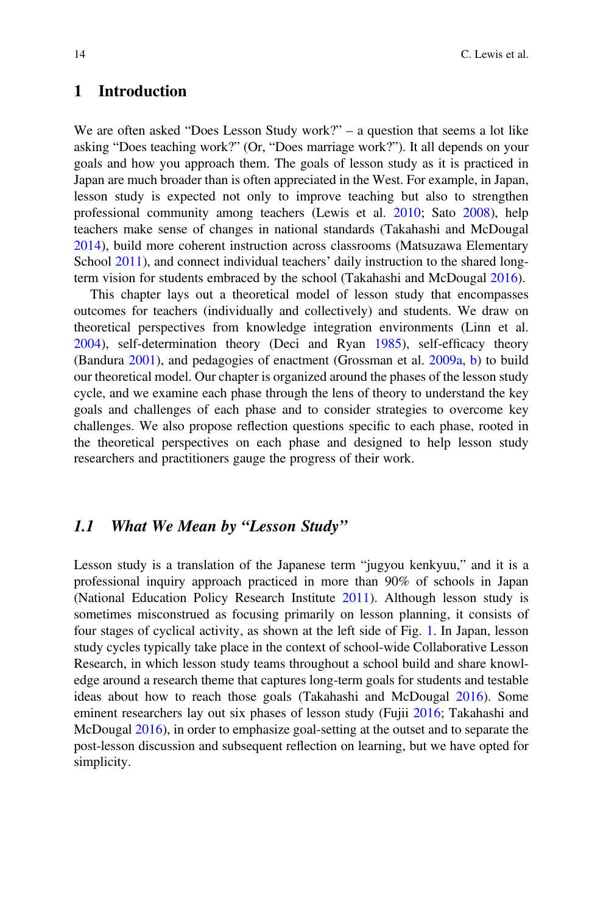# 1 Introduction

We are often asked "Does Lesson Study work?" – a question that seems a lot like asking "Does teaching work?" (Or, "Does marriage work?"). It all depends on your goals and how you approach them. The goals of lesson study as it is practiced in Japan are much broader than is often appreciated in the West. For example, in Japan, lesson study is expected not only to improve teaching but also to strengthen professional community among teachers (Lewis et al. 2010; Sato 2008), help teachers make sense of changes in national standards (Takahashi and McDougal 2014), build more coherent instruction across classrooms (Matsuzawa Elementary School 2011), and connect individual teachers' daily instruction to the shared longterm vision for students embraced by the school (Takahashi and McDougal 2016).

This chapter lays out a theoretical model of lesson study that encompasses outcomes for teachers (individually and collectively) and students. We draw on theoretical perspectives from knowledge integration environments (Linn et al. 2004), self-determination theory (Deci and Ryan 1985), self-efficacy theory (Bandura 2001), and pedagogies of enactment (Grossman et al. 2009a, b) to build our theoretical model. Our chapter is organized around the phases of the lesson study cycle, and we examine each phase through the lens of theory to understand the key goals and challenges of each phase and to consider strategies to overcome key challenges. We also propose reflection questions specific to each phase, rooted in the theoretical perspectives on each phase and designed to help lesson study researchers and practitioners gauge the progress of their work.

# 1.1 What We Mean by "Lesson Study"

Lesson study is a translation of the Japanese term "jugyou kenkyuu," and it is a professional inquiry approach practiced in more than 90% of schools in Japan (National Education Policy Research Institute 2011). Although lesson study is sometimes misconstrued as focusing primarily on lesson planning, it consists of four stages of cyclical activity, as shown at the left side of Fig. 1. In Japan, lesson study cycles typically take place in the context of school-wide Collaborative Lesson Research, in which lesson study teams throughout a school build and share knowledge around a research theme that captures long-term goals for students and testable ideas about how to reach those goals (Takahashi and McDougal 2016). Some eminent researchers lay out six phases of lesson study (Fujii 2016; Takahashi and McDougal 2016), in order to emphasize goal-setting at the outset and to separate the post-lesson discussion and subsequent reflection on learning, but we have opted for simplicity.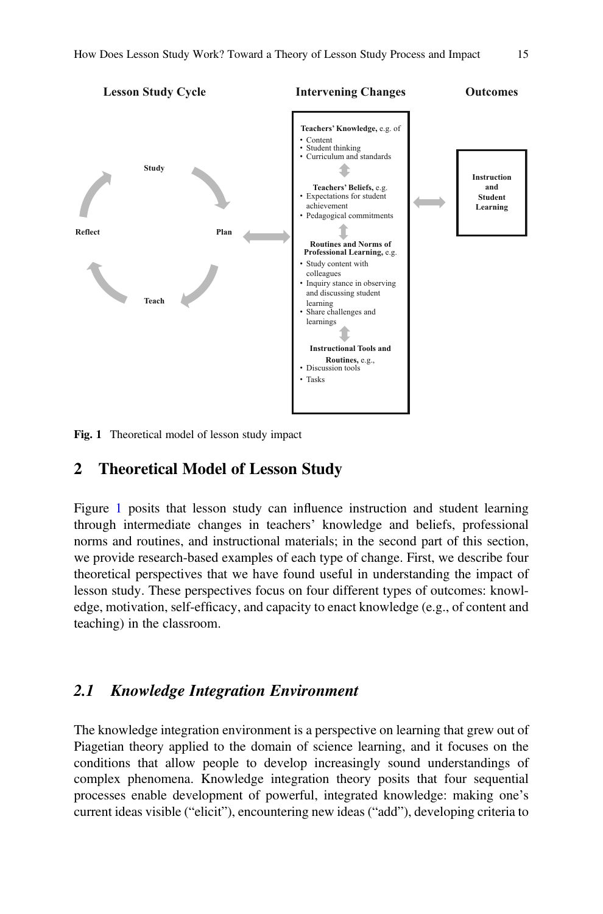

Fig. 1 Theoretical model of lesson study impact

# 2 Theoretical Model of Lesson Study

Figure 1 posits that lesson study can influence instruction and student learning through intermediate changes in teachers' knowledge and beliefs, professional norms and routines, and instructional materials; in the second part of this section, we provide research-based examples of each type of change. First, we describe four theoretical perspectives that we have found useful in understanding the impact of lesson study. These perspectives focus on four different types of outcomes: knowledge, motivation, self-efficacy, and capacity to enact knowledge (e.g., of content and teaching) in the classroom.

# 2.1 Knowledge Integration Environment

The knowledge integration environment is a perspective on learning that grew out of Piagetian theory applied to the domain of science learning, and it focuses on the conditions that allow people to develop increasingly sound understandings of complex phenomena. Knowledge integration theory posits that four sequential processes enable development of powerful, integrated knowledge: making one's current ideas visible ("elicit"), encountering new ideas ("add"), developing criteria to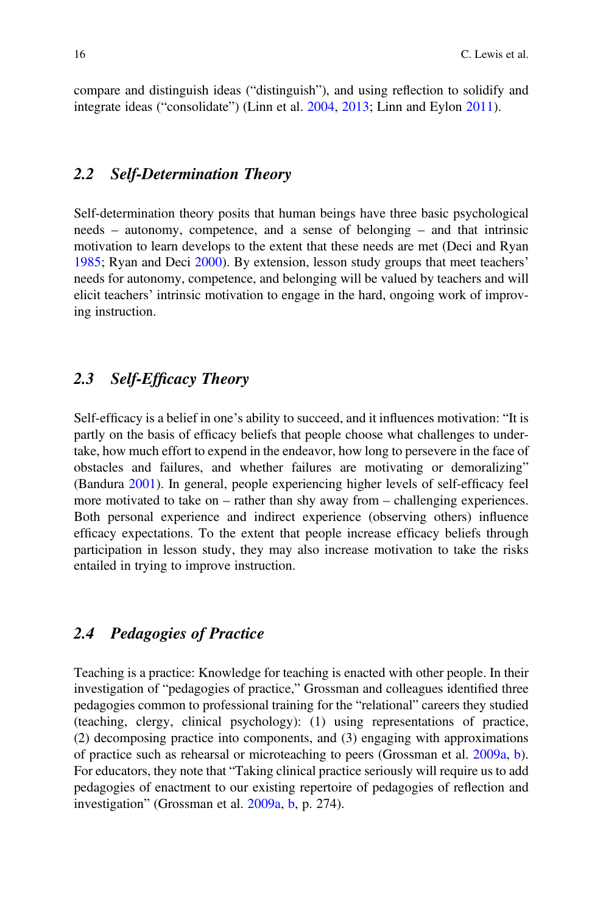compare and distinguish ideas ("distinguish"), and using reflection to solidify and integrate ideas ("consolidate") (Linn et al. 2004, 2013; Linn and Eylon 2011).

## 2.2 Self-Determination Theory

Self-determination theory posits that human beings have three basic psychological needs – autonomy, competence, and a sense of belonging – and that intrinsic motivation to learn develops to the extent that these needs are met (Deci and Ryan 1985; Ryan and Deci 2000). By extension, lesson study groups that meet teachers' needs for autonomy, competence, and belonging will be valued by teachers and will elicit teachers' intrinsic motivation to engage in the hard, ongoing work of improving instruction.

# 2.3 Self-Efficacy Theory

Self-efficacy is a belief in one's ability to succeed, and it influences motivation: "It is partly on the basis of efficacy beliefs that people choose what challenges to undertake, how much effort to expend in the endeavor, how long to persevere in the face of obstacles and failures, and whether failures are motivating or demoralizing" (Bandura 2001). In general, people experiencing higher levels of self-efficacy feel more motivated to take on – rather than shy away from – challenging experiences. Both personal experience and indirect experience (observing others) influence efficacy expectations. To the extent that people increase efficacy beliefs through participation in lesson study, they may also increase motivation to take the risks entailed in trying to improve instruction.

# 2.4 Pedagogies of Practice

Teaching is a practice: Knowledge for teaching is enacted with other people. In their investigation of "pedagogies of practice," Grossman and colleagues identified three pedagogies common to professional training for the "relational" careers they studied (teaching, clergy, clinical psychology): (1) using representations of practice, (2) decomposing practice into components, and (3) engaging with approximations of practice such as rehearsal or microteaching to peers (Grossman et al. 2009a, b). For educators, they note that "Taking clinical practice seriously will require us to add pedagogies of enactment to our existing repertoire of pedagogies of reflection and investigation" (Grossman et al. 2009a, b, p. 274).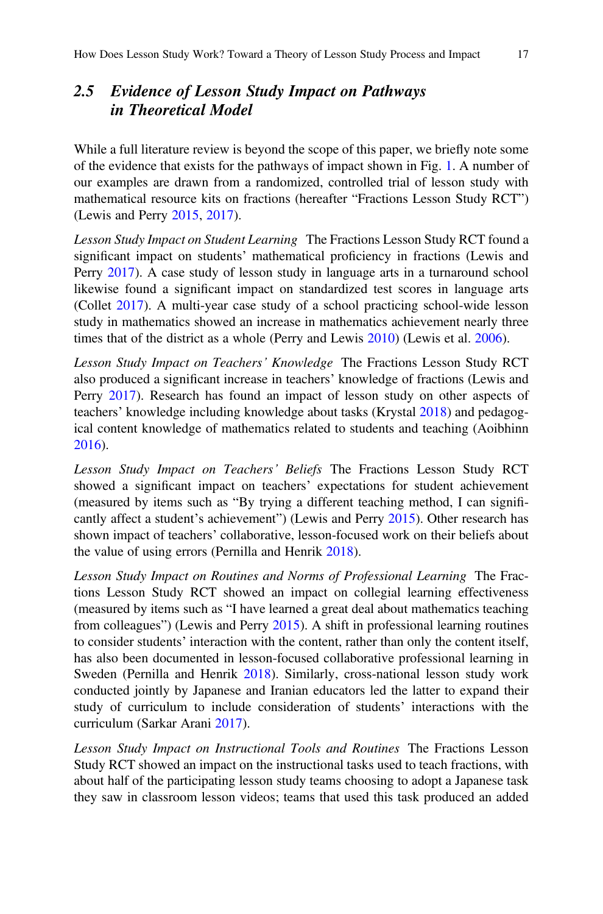# 2.5 Evidence of Lesson Study Impact on Pathways in Theoretical Model

While a full literature review is beyond the scope of this paper, we briefly note some of the evidence that exists for the pathways of impact shown in Fig. 1. A number of our examples are drawn from a randomized, controlled trial of lesson study with mathematical resource kits on fractions (hereafter "Fractions Lesson Study RCT") (Lewis and Perry 2015, 2017).

Lesson Study Impact on Student Learning The Fractions Lesson Study RCT found a significant impact on students' mathematical proficiency in fractions (Lewis and Perry 2017). A case study of lesson study in language arts in a turnaround school likewise found a significant impact on standardized test scores in language arts (Collet 2017). A multi-year case study of a school practicing school-wide lesson study in mathematics showed an increase in mathematics achievement nearly three times that of the district as a whole (Perry and Lewis 2010) (Lewis et al. 2006).

Lesson Study Impact on Teachers' Knowledge The Fractions Lesson Study RCT also produced a significant increase in teachers' knowledge of fractions (Lewis and Perry 2017). Research has found an impact of lesson study on other aspects of teachers' knowledge including knowledge about tasks (Krystal 2018) and pedagogical content knowledge of mathematics related to students and teaching (Aoibhinn 2016).

Lesson Study Impact on Teachers' Beliefs The Fractions Lesson Study RCT showed a significant impact on teachers' expectations for student achievement (measured by items such as "By trying a different teaching method, I can significantly affect a student's achievement") (Lewis and Perry 2015). Other research has shown impact of teachers' collaborative, lesson-focused work on their beliefs about the value of using errors (Pernilla and Henrik 2018).

Lesson Study Impact on Routines and Norms of Professional Learning The Fractions Lesson Study RCT showed an impact on collegial learning effectiveness (measured by items such as "I have learned a great deal about mathematics teaching from colleagues") (Lewis and Perry 2015). A shift in professional learning routines to consider students' interaction with the content, rather than only the content itself, has also been documented in lesson-focused collaborative professional learning in Sweden (Pernilla and Henrik 2018). Similarly, cross-national lesson study work conducted jointly by Japanese and Iranian educators led the latter to expand their study of curriculum to include consideration of students' interactions with the curriculum (Sarkar Arani 2017).

Lesson Study Impact on Instructional Tools and Routines The Fractions Lesson Study RCT showed an impact on the instructional tasks used to teach fractions, with about half of the participating lesson study teams choosing to adopt a Japanese task they saw in classroom lesson videos; teams that used this task produced an added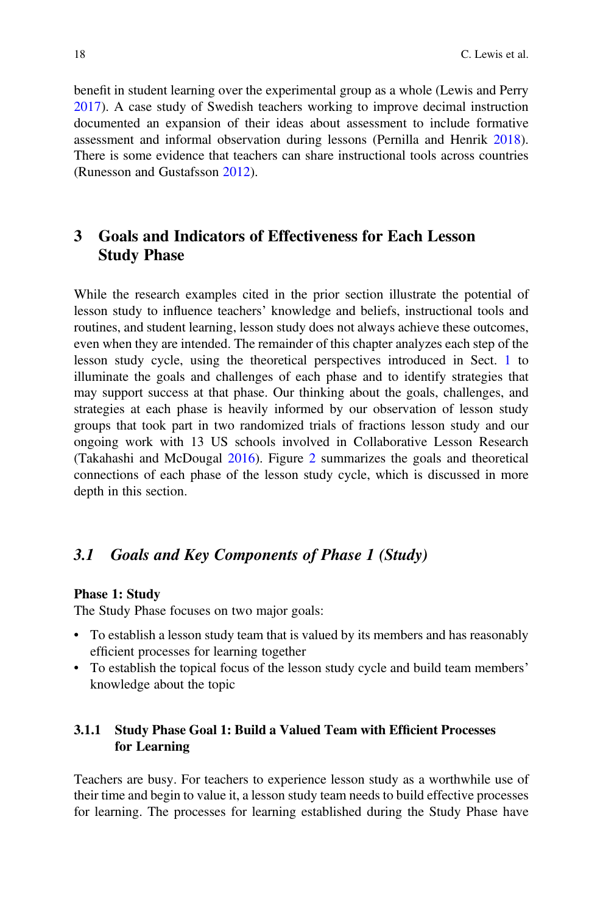benefit in student learning over the experimental group as a whole (Lewis and Perry 2017). A case study of Swedish teachers working to improve decimal instruction documented an expansion of their ideas about assessment to include formative assessment and informal observation during lessons (Pernilla and Henrik 2018). There is some evidence that teachers can share instructional tools across countries (Runesson and Gustafsson 2012).

# 3 Goals and Indicators of Effectiveness for Each Lesson Study Phase

While the research examples cited in the prior section illustrate the potential of lesson study to influence teachers' knowledge and beliefs, instructional tools and routines, and student learning, lesson study does not always achieve these outcomes, even when they are intended. The remainder of this chapter analyzes each step of the lesson study cycle, using the theoretical perspectives introduced in Sect. 1 to illuminate the goals and challenges of each phase and to identify strategies that may support success at that phase. Our thinking about the goals, challenges, and strategies at each phase is heavily informed by our observation of lesson study groups that took part in two randomized trials of fractions lesson study and our ongoing work with 13 US schools involved in Collaborative Lesson Research (Takahashi and McDougal 2016). Figure 2 summarizes the goals and theoretical connections of each phase of the lesson study cycle, which is discussed in more depth in this section.

# 3.1 Goals and Key Components of Phase 1 (Study)

#### Phase 1: Study

The Study Phase focuses on two major goals:

- To establish a lesson study team that is valued by its members and has reasonably efficient processes for learning together
- To establish the topical focus of the lesson study cycle and build team members' knowledge about the topic

## 3.1.1 Study Phase Goal 1: Build a Valued Team with Efficient Processes for Learning

Teachers are busy. For teachers to experience lesson study as a worthwhile use of their time and begin to value it, a lesson study team needs to build effective processes for learning. The processes for learning established during the Study Phase have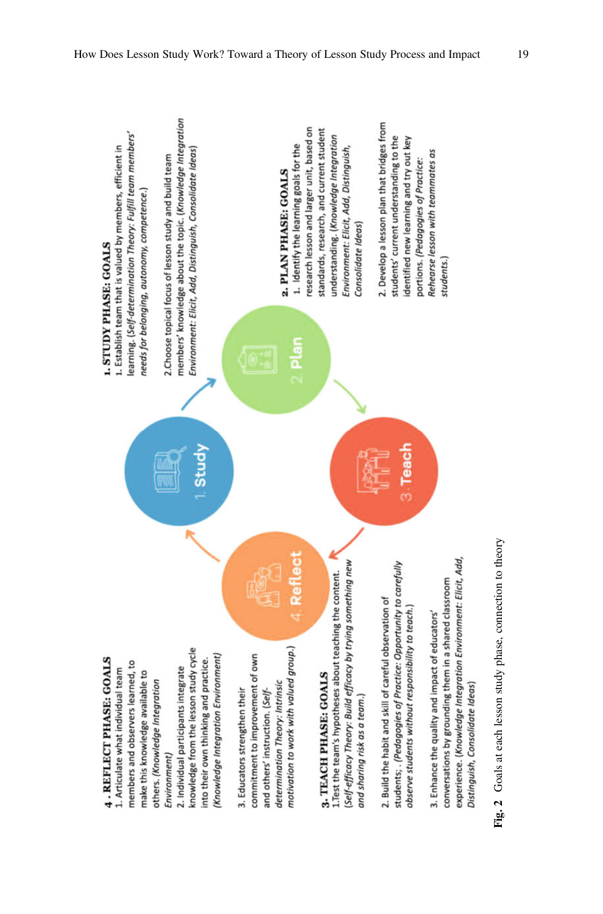

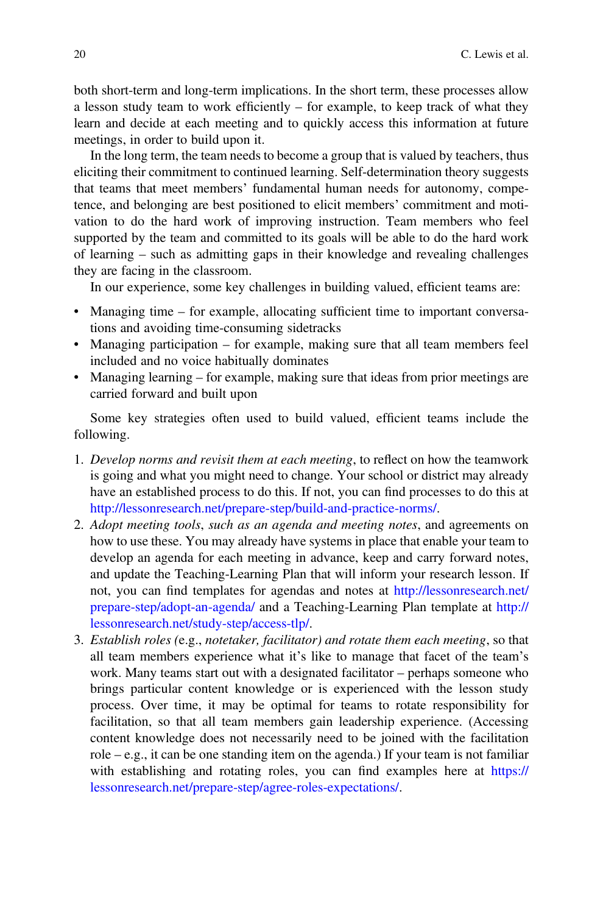both short-term and long-term implications. In the short term, these processes allow a lesson study team to work efficiently – for example, to keep track of what they learn and decide at each meeting and to quickly access this information at future meetings, in order to build upon it.

In the long term, the team needs to become a group that is valued by teachers, thus eliciting their commitment to continued learning. Self-determination theory suggests that teams that meet members' fundamental human needs for autonomy, competence, and belonging are best positioned to elicit members' commitment and motivation to do the hard work of improving instruction. Team members who feel supported by the team and committed to its goals will be able to do the hard work of learning – such as admitting gaps in their knowledge and revealing challenges they are facing in the classroom.

In our experience, some key challenges in building valued, efficient teams are:

- Managing time for example, allocating sufficient time to important conversations and avoiding time-consuming sidetracks
- Managing participation for example, making sure that all team members feel included and no voice habitually dominates
- Managing learning for example, making sure that ideas from prior meetings are carried forward and built upon

Some key strategies often used to build valued, efficient teams include the following.

- 1. Develop norms and revisit them at each meeting, to reflect on how the teamwork is going and what you might need to change. Your school or district may already have an established process to do this. If not, you can find processes to do this at http://lessonresearch.net/prepare-step/build-and-practice-norms/.
- 2. Adopt meeting tools, such as an agenda and meeting notes, and agreements on how to use these. You may already have systems in place that enable your team to develop an agenda for each meeting in advance, keep and carry forward notes, and update the Teaching-Learning Plan that will inform your research lesson. If not, you can find templates for agendas and notes at http://lessonresearch.net/ prepare-step/adopt-an-agenda/ and a Teaching-Learning Plan template at http:// lessonresearch.net/study-step/access-tlp/.
- 3. Establish roles (e.g., notetaker, facilitator) and rotate them each meeting, so that all team members experience what it's like to manage that facet of the team's work. Many teams start out with a designated facilitator – perhaps someone who brings particular content knowledge or is experienced with the lesson study process. Over time, it may be optimal for teams to rotate responsibility for facilitation, so that all team members gain leadership experience. (Accessing content knowledge does not necessarily need to be joined with the facilitation role – e.g., it can be one standing item on the agenda.) If your team is not familiar with establishing and rotating roles, you can find examples here at https:// lessonresearch.net/prepare-step/agree-roles-expectations/.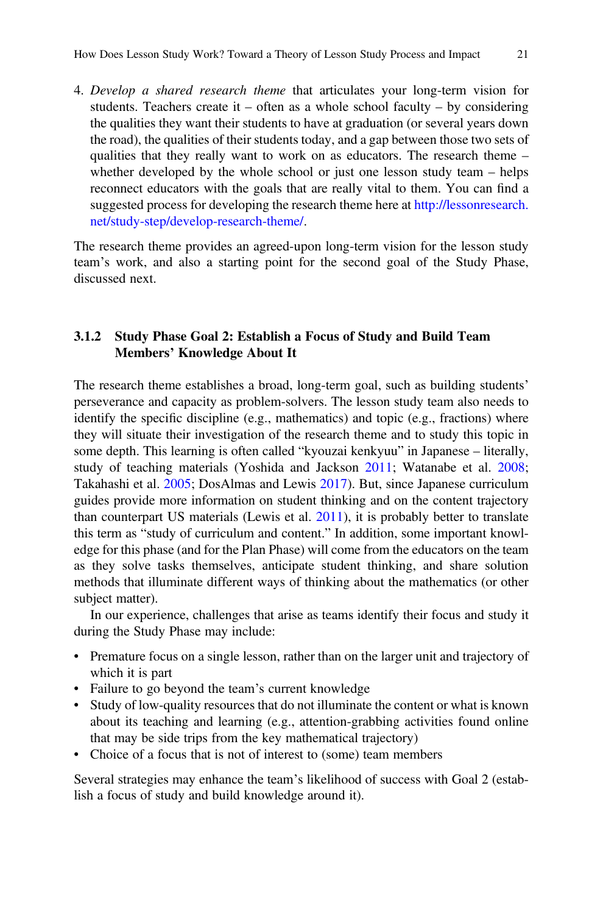4. Develop a shared research theme that articulates your long-term vision for students. Teachers create it – often as a whole school faculty – by considering the qualities they want their students to have at graduation (or several years down the road), the qualities of their students today, and a gap between those two sets of qualities that they really want to work on as educators. The research theme – whether developed by the whole school or just one lesson study team – helps reconnect educators with the goals that are really vital to them. You can find a suggested process for developing the research theme here at http://lessonresearch. net/study-step/develop-research-theme/.

The research theme provides an agreed-upon long-term vision for the lesson study team's work, and also a starting point for the second goal of the Study Phase, discussed next.

### 3.1.2 Study Phase Goal 2: Establish a Focus of Study and Build Team Members' Knowledge About It

The research theme establishes a broad, long-term goal, such as building students' perseverance and capacity as problem-solvers. The lesson study team also needs to identify the specific discipline (e.g., mathematics) and topic (e.g., fractions) where they will situate their investigation of the research theme and to study this topic in some depth. This learning is often called "kyouzai kenkyuu" in Japanese – literally, study of teaching materials (Yoshida and Jackson 2011; Watanabe et al. 2008; Takahashi et al. 2005; DosAlmas and Lewis 2017). But, since Japanese curriculum guides provide more information on student thinking and on the content trajectory than counterpart US materials (Lewis et al. 2011), it is probably better to translate this term as "study of curriculum and content." In addition, some important knowledge for this phase (and for the Plan Phase) will come from the educators on the team as they solve tasks themselves, anticipate student thinking, and share solution methods that illuminate different ways of thinking about the mathematics (or other subject matter).

In our experience, challenges that arise as teams identify their focus and study it during the Study Phase may include:

- Premature focus on a single lesson, rather than on the larger unit and trajectory of which it is part
- Failure to go beyond the team's current knowledge
- Study of low-quality resources that do not illuminate the content or what is known about its teaching and learning (e.g., attention-grabbing activities found online that may be side trips from the key mathematical trajectory)
- Choice of a focus that is not of interest to (some) team members

Several strategies may enhance the team's likelihood of success with Goal 2 (establish a focus of study and build knowledge around it).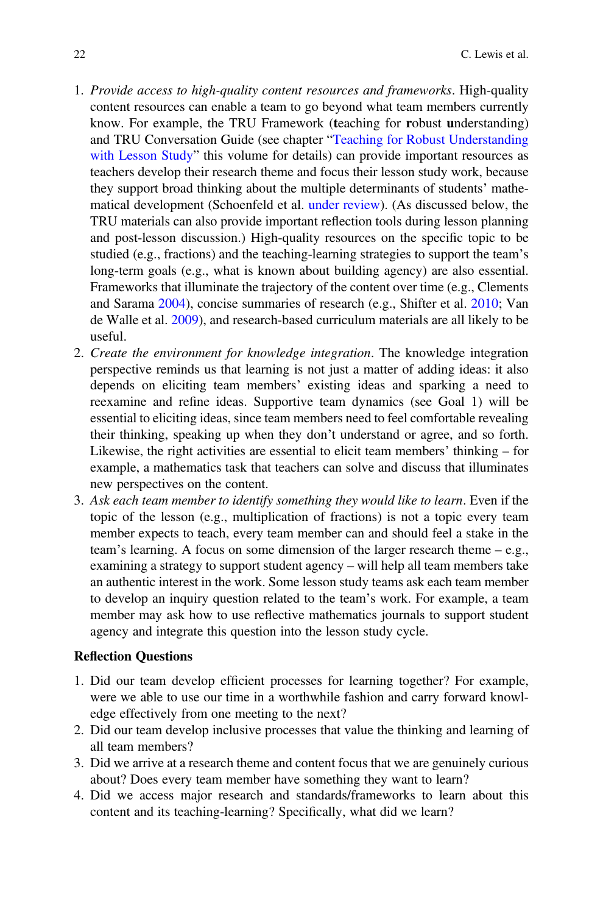- 1. Provide access to high-quality content resources and frameworks. High-quality content resources can enable a team to go beyond what team members currently know. For example, the TRU Framework (teaching for robust understanding) and TRU Conversation Guide (see chapter "Teaching for Robust Understanding with Lesson Study" this volume for details) can provide important resources as teachers develop their research theme and focus their lesson study work, because they support broad thinking about the multiple determinants of students' mathematical development (Schoenfeld et al. under review). (As discussed below, the TRU materials can also provide important reflection tools during lesson planning and post-lesson discussion.) High-quality resources on the specific topic to be studied (e.g., fractions) and the teaching-learning strategies to support the team's long-term goals (e.g., what is known about building agency) are also essential. Frameworks that illuminate the trajectory of the content over time (e.g., Clements and Sarama 2004), concise summaries of research (e.g., Shifter et al. 2010; Van de Walle et al. 2009), and research-based curriculum materials are all likely to be useful.
- 2. Create the environment for knowledge integration. The knowledge integration perspective reminds us that learning is not just a matter of adding ideas: it also depends on eliciting team members' existing ideas and sparking a need to reexamine and refine ideas. Supportive team dynamics (see Goal 1) will be essential to eliciting ideas, since team members need to feel comfortable revealing their thinking, speaking up when they don't understand or agree, and so forth. Likewise, the right activities are essential to elicit team members' thinking – for example, a mathematics task that teachers can solve and discuss that illuminates new perspectives on the content.
- 3. Ask each team member to identify something they would like to learn. Even if the topic of the lesson (e.g., multiplication of fractions) is not a topic every team member expects to teach, every team member can and should feel a stake in the team's learning. A focus on some dimension of the larger research theme – e.g., examining a strategy to support student agency – will help all team members take an authentic interest in the work. Some lesson study teams ask each team member to develop an inquiry question related to the team's work. For example, a team member may ask how to use reflective mathematics journals to support student agency and integrate this question into the lesson study cycle.

#### Reflection Questions

- 1. Did our team develop efficient processes for learning together? For example, were we able to use our time in a worthwhile fashion and carry forward knowledge effectively from one meeting to the next?
- 2. Did our team develop inclusive processes that value the thinking and learning of all team members?
- 3. Did we arrive at a research theme and content focus that we are genuinely curious about? Does every team member have something they want to learn?
- 4. Did we access major research and standards/frameworks to learn about this content and its teaching-learning? Specifically, what did we learn?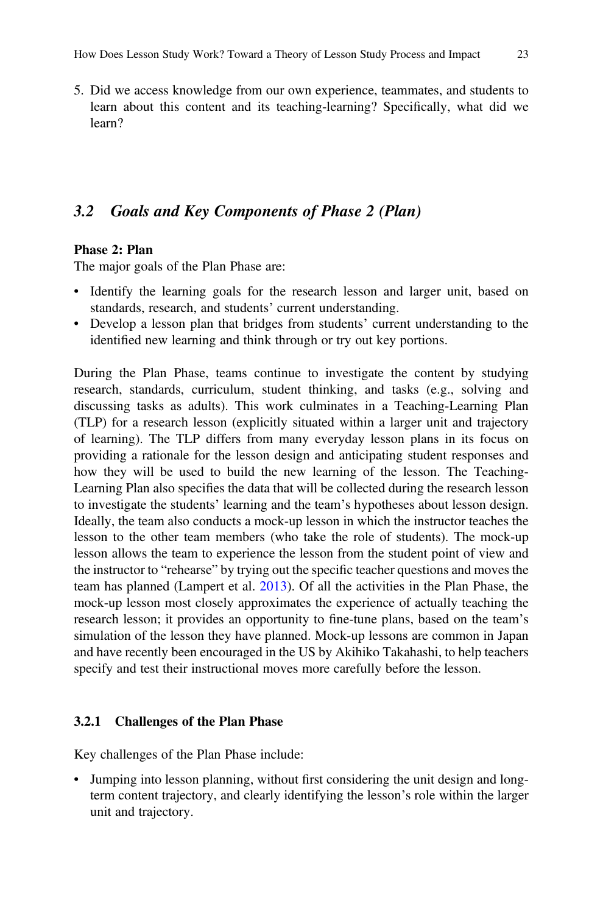5. Did we access knowledge from our own experience, teammates, and students to learn about this content and its teaching-learning? Specifically, what did we learn?

# 3.2 Goals and Key Components of Phase 2 (Plan)

#### Phase 2: Plan

The major goals of the Plan Phase are:

- Identify the learning goals for the research lesson and larger unit, based on standards, research, and students' current understanding.
- Develop a lesson plan that bridges from students' current understanding to the identified new learning and think through or try out key portions.

During the Plan Phase, teams continue to investigate the content by studying research, standards, curriculum, student thinking, and tasks (e.g., solving and discussing tasks as adults). This work culminates in a Teaching-Learning Plan (TLP) for a research lesson (explicitly situated within a larger unit and trajectory of learning). The TLP differs from many everyday lesson plans in its focus on providing a rationale for the lesson design and anticipating student responses and how they will be used to build the new learning of the lesson. The Teaching-Learning Plan also specifies the data that will be collected during the research lesson to investigate the students' learning and the team's hypotheses about lesson design. Ideally, the team also conducts a mock-up lesson in which the instructor teaches the lesson to the other team members (who take the role of students). The mock-up lesson allows the team to experience the lesson from the student point of view and the instructor to "rehearse" by trying out the specific teacher questions and moves the team has planned (Lampert et al. 2013). Of all the activities in the Plan Phase, the mock-up lesson most closely approximates the experience of actually teaching the research lesson; it provides an opportunity to fine-tune plans, based on the team's simulation of the lesson they have planned. Mock-up lessons are common in Japan and have recently been encouraged in the US by Akihiko Takahashi, to help teachers specify and test their instructional moves more carefully before the lesson.

#### 3.2.1 Challenges of the Plan Phase

Key challenges of the Plan Phase include:

• Jumping into lesson planning, without first considering the unit design and longterm content trajectory, and clearly identifying the lesson's role within the larger unit and trajectory.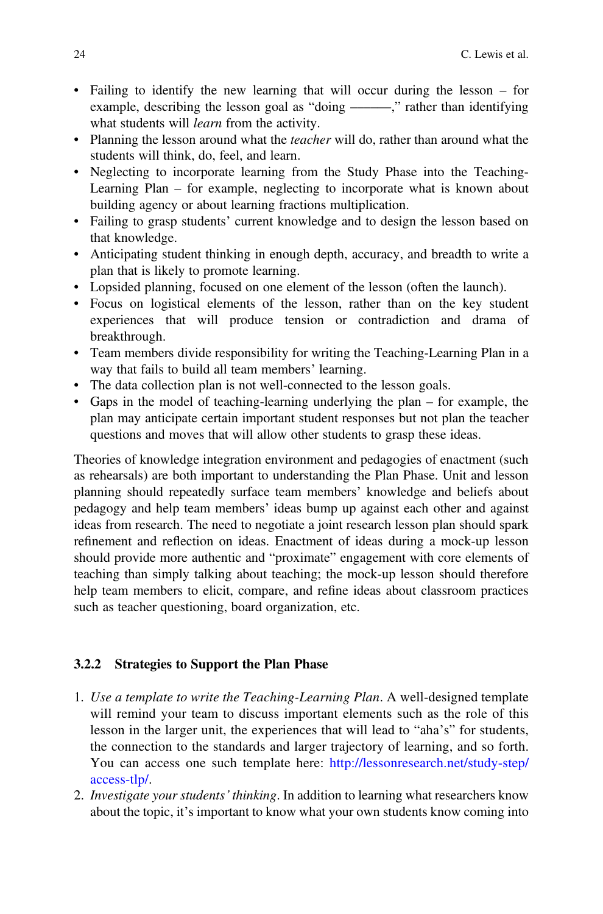- Failing to identify the new learning that will occur during the lesson for example, describing the lesson goal as "doing ———," rather than identifying what students will *learn* from the activity.
- Planning the lesson around what the *teacher* will do, rather than around what the students will think, do, feel, and learn.
- Neglecting to incorporate learning from the Study Phase into the Teaching-Learning Plan – for example, neglecting to incorporate what is known about building agency or about learning fractions multiplication.
- Failing to grasp students' current knowledge and to design the lesson based on that knowledge.
- Anticipating student thinking in enough depth, accuracy, and breadth to write a plan that is likely to promote learning.
- Lopsided planning, focused on one element of the lesson (often the launch).
- Focus on logistical elements of the lesson, rather than on the key student experiences that will produce tension or contradiction and drama of breakthrough.
- Team members divide responsibility for writing the Teaching-Learning Plan in a way that fails to build all team members' learning.
- The data collection plan is not well-connected to the lesson goals.
- Gaps in the model of teaching-learning underlying the plan for example, the plan may anticipate certain important student responses but not plan the teacher questions and moves that will allow other students to grasp these ideas.

Theories of knowledge integration environment and pedagogies of enactment (such as rehearsals) are both important to understanding the Plan Phase. Unit and lesson planning should repeatedly surface team members' knowledge and beliefs about pedagogy and help team members' ideas bump up against each other and against ideas from research. The need to negotiate a joint research lesson plan should spark refinement and reflection on ideas. Enactment of ideas during a mock-up lesson should provide more authentic and "proximate" engagement with core elements of teaching than simply talking about teaching; the mock-up lesson should therefore help team members to elicit, compare, and refine ideas about classroom practices such as teacher questioning, board organization, etc.

# 3.2.2 Strategies to Support the Plan Phase

- 1. Use a template to write the Teaching-Learning Plan. A well-designed template will remind your team to discuss important elements such as the role of this lesson in the larger unit, the experiences that will lead to "aha's" for students, the connection to the standards and larger trajectory of learning, and so forth. You can access one such template here: http://lessonresearch.net/study-step/ access-tlp/.
- 2. Investigate your students' thinking. In addition to learning what researchers know about the topic, it's important to know what your own students know coming into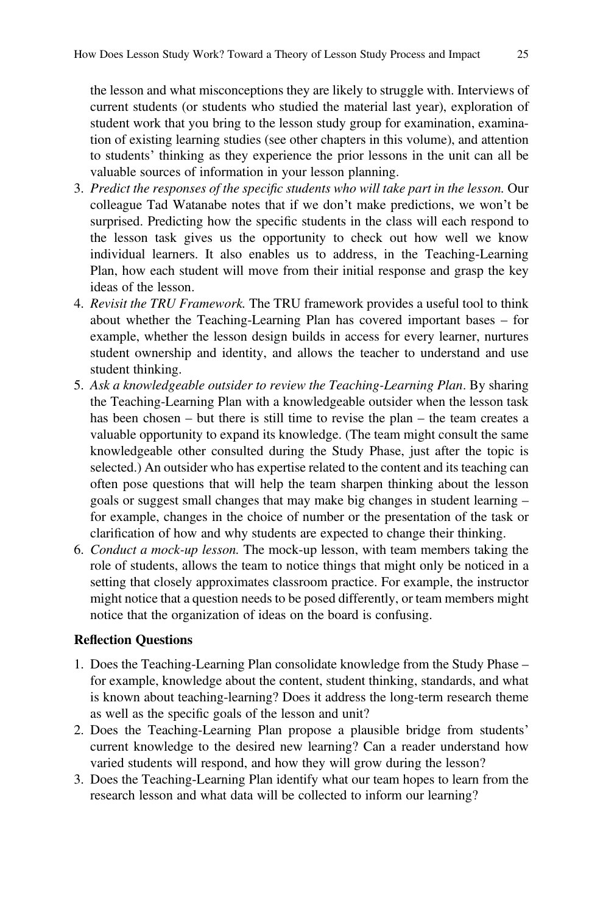the lesson and what misconceptions they are likely to struggle with. Interviews of current students (or students who studied the material last year), exploration of student work that you bring to the lesson study group for examination, examination of existing learning studies (see other chapters in this volume), and attention to students' thinking as they experience the prior lessons in the unit can all be valuable sources of information in your lesson planning.

- 3. Predict the responses of the specific students who will take part in the lesson. Our colleague Tad Watanabe notes that if we don't make predictions, we won't be surprised. Predicting how the specific students in the class will each respond to the lesson task gives us the opportunity to check out how well we know individual learners. It also enables us to address, in the Teaching-Learning Plan, how each student will move from their initial response and grasp the key ideas of the lesson.
- 4. Revisit the TRU Framework. The TRU framework provides a useful tool to think about whether the Teaching-Learning Plan has covered important bases – for example, whether the lesson design builds in access for every learner, nurtures student ownership and identity, and allows the teacher to understand and use student thinking.
- 5. Ask a knowledgeable outsider to review the Teaching-Learning Plan. By sharing the Teaching-Learning Plan with a knowledgeable outsider when the lesson task has been chosen – but there is still time to revise the plan – the team creates a valuable opportunity to expand its knowledge. (The team might consult the same knowledgeable other consulted during the Study Phase, just after the topic is selected.) An outsider who has expertise related to the content and its teaching can often pose questions that will help the team sharpen thinking about the lesson goals or suggest small changes that may make big changes in student learning – for example, changes in the choice of number or the presentation of the task or clarification of how and why students are expected to change their thinking.
- 6. Conduct a mock-up lesson. The mock-up lesson, with team members taking the role of students, allows the team to notice things that might only be noticed in a setting that closely approximates classroom practice. For example, the instructor might notice that a question needs to be posed differently, or team members might notice that the organization of ideas on the board is confusing.

### Reflection Questions

- 1. Does the Teaching-Learning Plan consolidate knowledge from the Study Phase for example, knowledge about the content, student thinking, standards, and what is known about teaching-learning? Does it address the long-term research theme as well as the specific goals of the lesson and unit?
- 2. Does the Teaching-Learning Plan propose a plausible bridge from students' current knowledge to the desired new learning? Can a reader understand how varied students will respond, and how they will grow during the lesson?
- 3. Does the Teaching-Learning Plan identify what our team hopes to learn from the research lesson and what data will be collected to inform our learning?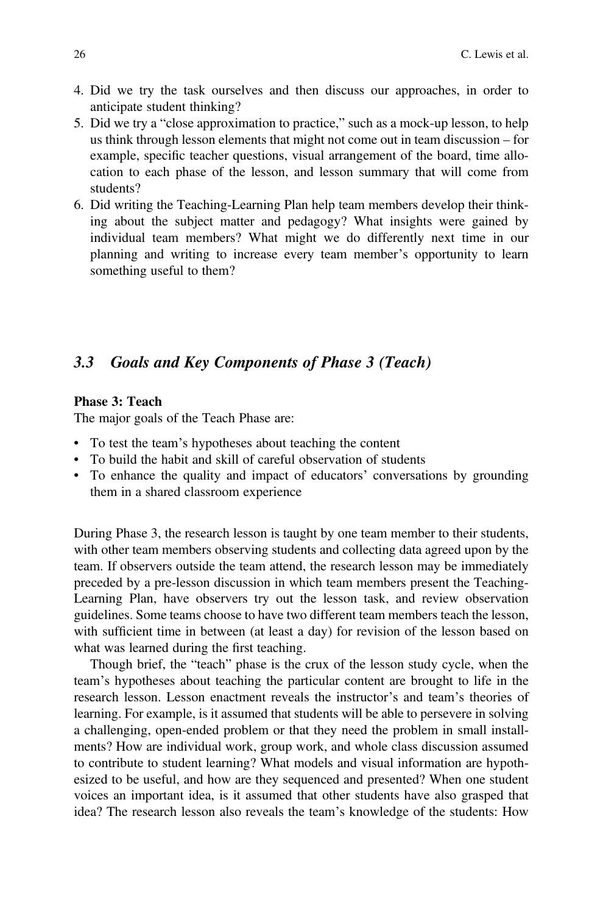- 4. Did we try the task ourselves and then discuss our approaches, in order to anticipate student thinking?
- 5. Did we try a "close approximation to practice," such as a mock-up lesson, to help us think through lesson elements that might not come out in team discussion – for example, specific teacher questions, visual arrangement of the board, time allocation to each phase of the lesson, and lesson summary that will come from students?
- 6. Did writing the Teaching-Learning Plan help team members develop their thinking about the subject matter and pedagogy? What insights were gained by individual team members? What might we do differently next time in our planning and writing to increase every team member's opportunity to learn something useful to them?

# 3.3 Goals and Key Components of Phase 3 (Teach)

#### Phase 3: Teach

The major goals of the Teach Phase are:

- To test the team's hypotheses about teaching the content
- To build the habit and skill of careful observation of students
- To enhance the quality and impact of educators' conversations by grounding them in a shared classroom experience

During Phase 3, the research lesson is taught by one team member to their students, with other team members observing students and collecting data agreed upon by the team. If observers outside the team attend, the research lesson may be immediately preceded by a pre-lesson discussion in which team members present the Teaching-Learning Plan, have observers try out the lesson task, and review observation guidelines. Some teams choose to have two different team members teach the lesson, with sufficient time in between (at least a day) for revision of the lesson based on what was learned during the first teaching.

Though brief, the "teach" phase is the crux of the lesson study cycle, when the team's hypotheses about teaching the particular content are brought to life in the research lesson. Lesson enactment reveals the instructor's and team's theories of learning. For example, is it assumed that students will be able to persevere in solving a challenging, open-ended problem or that they need the problem in small installments? How are individual work, group work, and whole class discussion assumed to contribute to student learning? What models and visual information are hypothesized to be useful, and how are they sequenced and presented? When one student voices an important idea, is it assumed that other students have also grasped that idea? The research lesson also reveals the team's knowledge of the students: How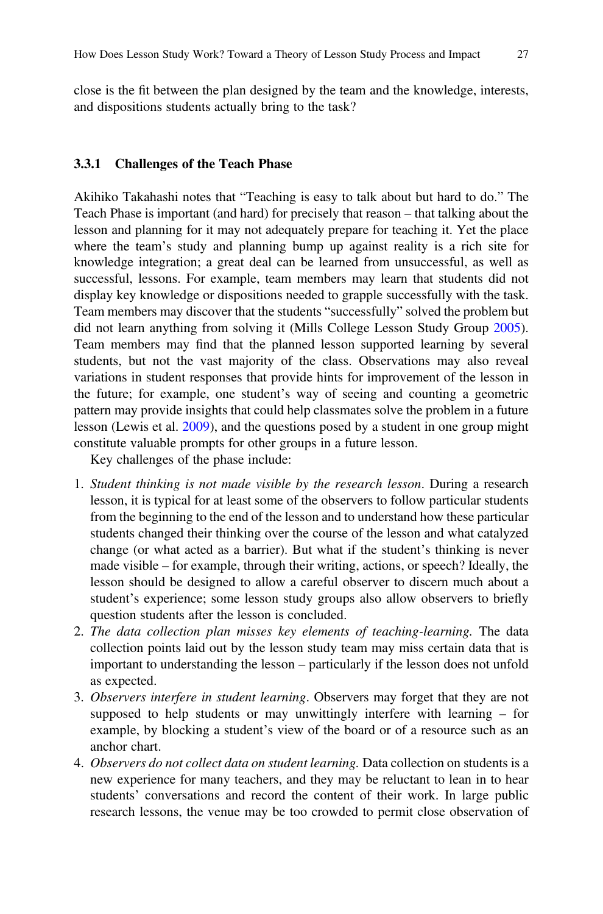close is the fit between the plan designed by the team and the knowledge, interests, and dispositions students actually bring to the task?

#### 3.3.1 Challenges of the Teach Phase

Akihiko Takahashi notes that "Teaching is easy to talk about but hard to do." The Teach Phase is important (and hard) for precisely that reason – that talking about the lesson and planning for it may not adequately prepare for teaching it. Yet the place where the team's study and planning bump up against reality is a rich site for knowledge integration; a great deal can be learned from unsuccessful, as well as successful, lessons. For example, team members may learn that students did not display key knowledge or dispositions needed to grapple successfully with the task. Team members may discover that the students "successfully" solved the problem but did not learn anything from solving it (Mills College Lesson Study Group 2005). Team members may find that the planned lesson supported learning by several students, but not the vast majority of the class. Observations may also reveal variations in student responses that provide hints for improvement of the lesson in the future; for example, one student's way of seeing and counting a geometric pattern may provide insights that could help classmates solve the problem in a future lesson (Lewis et al. 2009), and the questions posed by a student in one group might constitute valuable prompts for other groups in a future lesson.

Key challenges of the phase include:

- 1. Student thinking is not made visible by the research lesson. During a research lesson, it is typical for at least some of the observers to follow particular students from the beginning to the end of the lesson and to understand how these particular students changed their thinking over the course of the lesson and what catalyzed change (or what acted as a barrier). But what if the student's thinking is never made visible – for example, through their writing, actions, or speech? Ideally, the lesson should be designed to allow a careful observer to discern much about a student's experience; some lesson study groups also allow observers to briefly question students after the lesson is concluded.
- 2. The data collection plan misses key elements of teaching-learning. The data collection points laid out by the lesson study team may miss certain data that is important to understanding the lesson – particularly if the lesson does not unfold as expected.
- 3. Observers interfere in student learning. Observers may forget that they are not supposed to help students or may unwittingly interfere with learning – for example, by blocking a student's view of the board or of a resource such as an anchor chart.
- 4. Observers do not collect data on student learning. Data collection on students is a new experience for many teachers, and they may be reluctant to lean in to hear students' conversations and record the content of their work. In large public research lessons, the venue may be too crowded to permit close observation of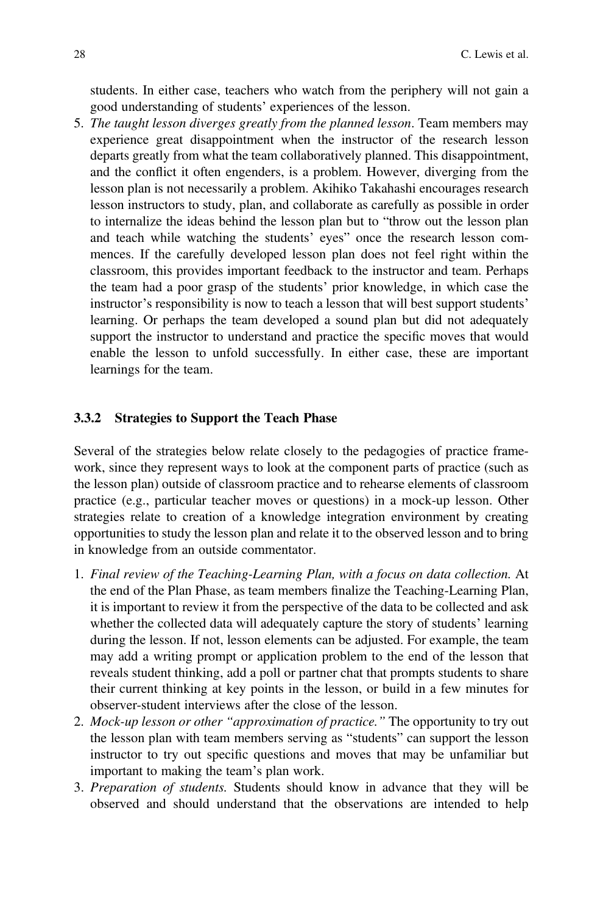students. In either case, teachers who watch from the periphery will not gain a good understanding of students' experiences of the lesson.

5. The taught lesson diverges greatly from the planned lesson. Team members may experience great disappointment when the instructor of the research lesson departs greatly from what the team collaboratively planned. This disappointment, and the conflict it often engenders, is a problem. However, diverging from the lesson plan is not necessarily a problem. Akihiko Takahashi encourages research lesson instructors to study, plan, and collaborate as carefully as possible in order to internalize the ideas behind the lesson plan but to "throw out the lesson plan and teach while watching the students' eyes" once the research lesson commences. If the carefully developed lesson plan does not feel right within the classroom, this provides important feedback to the instructor and team. Perhaps the team had a poor grasp of the students' prior knowledge, in which case the instructor's responsibility is now to teach a lesson that will best support students' learning. Or perhaps the team developed a sound plan but did not adequately support the instructor to understand and practice the specific moves that would enable the lesson to unfold successfully. In either case, these are important learnings for the team.

#### 3.3.2 Strategies to Support the Teach Phase

Several of the strategies below relate closely to the pedagogies of practice framework, since they represent ways to look at the component parts of practice (such as the lesson plan) outside of classroom practice and to rehearse elements of classroom practice (e.g., particular teacher moves or questions) in a mock-up lesson. Other strategies relate to creation of a knowledge integration environment by creating opportunities to study the lesson plan and relate it to the observed lesson and to bring in knowledge from an outside commentator.

- 1. Final review of the Teaching-Learning Plan, with a focus on data collection. At the end of the Plan Phase, as team members finalize the Teaching-Learning Plan, it is important to review it from the perspective of the data to be collected and ask whether the collected data will adequately capture the story of students' learning during the lesson. If not, lesson elements can be adjusted. For example, the team may add a writing prompt or application problem to the end of the lesson that reveals student thinking, add a poll or partner chat that prompts students to share their current thinking at key points in the lesson, or build in a few minutes for observer-student interviews after the close of the lesson.
- 2. Mock-up lesson or other "approximation of practice." The opportunity to try out the lesson plan with team members serving as "students" can support the lesson instructor to try out specific questions and moves that may be unfamiliar but important to making the team's plan work.
- 3. Preparation of students. Students should know in advance that they will be observed and should understand that the observations are intended to help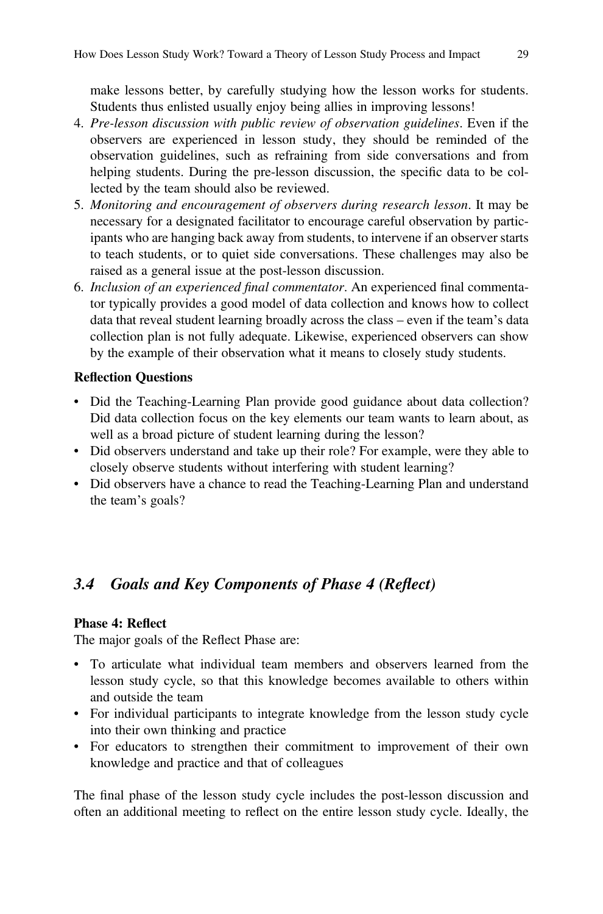make lessons better, by carefully studying how the lesson works for students. Students thus enlisted usually enjoy being allies in improving lessons!

- 4. Pre-lesson discussion with public review of observation guidelines. Even if the observers are experienced in lesson study, they should be reminded of the observation guidelines, such as refraining from side conversations and from helping students. During the pre-lesson discussion, the specific data to be collected by the team should also be reviewed.
- 5. Monitoring and encouragement of observers during research lesson. It may be necessary for a designated facilitator to encourage careful observation by participants who are hanging back away from students, to intervene if an observer starts to teach students, or to quiet side conversations. These challenges may also be raised as a general issue at the post-lesson discussion.
- 6. Inclusion of an experienced final commentator. An experienced final commentator typically provides a good model of data collection and knows how to collect data that reveal student learning broadly across the class – even if the team's data collection plan is not fully adequate. Likewise, experienced observers can show by the example of their observation what it means to closely study students.

# Reflection Questions

- Did the Teaching-Learning Plan provide good guidance about data collection? Did data collection focus on the key elements our team wants to learn about, as well as a broad picture of student learning during the lesson?
- Did observers understand and take up their role? For example, were they able to closely observe students without interfering with student learning?
- Did observers have a chance to read the Teaching-Learning Plan and understand the team's goals?

# 3.4 Goals and Key Components of Phase 4 (Reflect)

### Phase 4: Reflect

The major goals of the Reflect Phase are:

- To articulate what individual team members and observers learned from the lesson study cycle, so that this knowledge becomes available to others within and outside the team
- For individual participants to integrate knowledge from the lesson study cycle into their own thinking and practice
- For educators to strengthen their commitment to improvement of their own knowledge and practice and that of colleagues

The final phase of the lesson study cycle includes the post-lesson discussion and often an additional meeting to reflect on the entire lesson study cycle. Ideally, the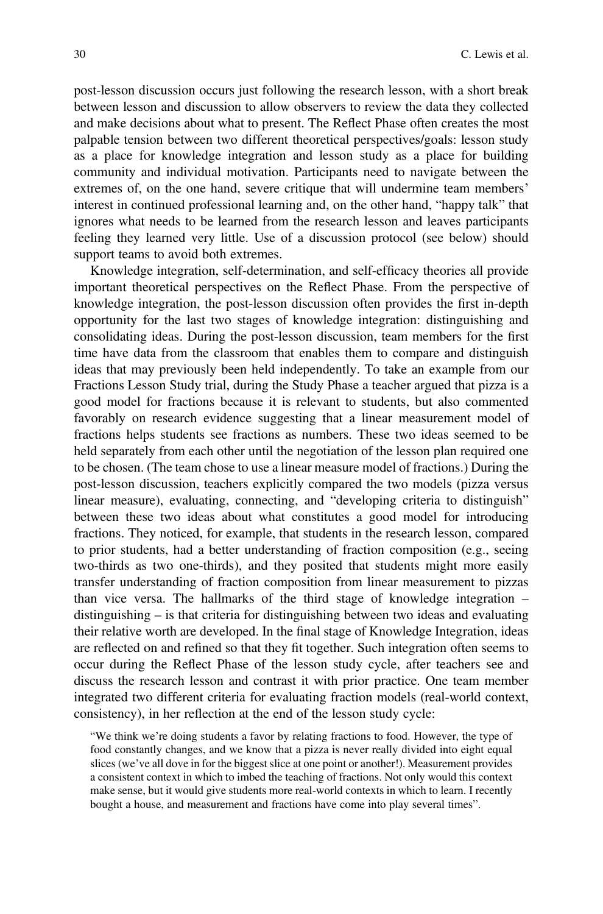post-lesson discussion occurs just following the research lesson, with a short break between lesson and discussion to allow observers to review the data they collected and make decisions about what to present. The Reflect Phase often creates the most palpable tension between two different theoretical perspectives/goals: lesson study as a place for knowledge integration and lesson study as a place for building community and individual motivation. Participants need to navigate between the extremes of, on the one hand, severe critique that will undermine team members' interest in continued professional learning and, on the other hand, "happy talk" that ignores what needs to be learned from the research lesson and leaves participants feeling they learned very little. Use of a discussion protocol (see below) should support teams to avoid both extremes.

Knowledge integration, self-determination, and self-efficacy theories all provide important theoretical perspectives on the Reflect Phase. From the perspective of knowledge integration, the post-lesson discussion often provides the first in-depth opportunity for the last two stages of knowledge integration: distinguishing and consolidating ideas. During the post-lesson discussion, team members for the first time have data from the classroom that enables them to compare and distinguish ideas that may previously been held independently. To take an example from our Fractions Lesson Study trial, during the Study Phase a teacher argued that pizza is a good model for fractions because it is relevant to students, but also commented favorably on research evidence suggesting that a linear measurement model of fractions helps students see fractions as numbers. These two ideas seemed to be held separately from each other until the negotiation of the lesson plan required one to be chosen. (The team chose to use a linear measure model of fractions.) During the post-lesson discussion, teachers explicitly compared the two models (pizza versus linear measure), evaluating, connecting, and "developing criteria to distinguish" between these two ideas about what constitutes a good model for introducing fractions. They noticed, for example, that students in the research lesson, compared to prior students, had a better understanding of fraction composition (e.g., seeing two-thirds as two one-thirds), and they posited that students might more easily transfer understanding of fraction composition from linear measurement to pizzas than vice versa. The hallmarks of the third stage of knowledge integration – distinguishing – is that criteria for distinguishing between two ideas and evaluating their relative worth are developed. In the final stage of Knowledge Integration, ideas are reflected on and refined so that they fit together. Such integration often seems to occur during the Reflect Phase of the lesson study cycle, after teachers see and discuss the research lesson and contrast it with prior practice. One team member integrated two different criteria for evaluating fraction models (real-world context, consistency), in her reflection at the end of the lesson study cycle:

"We think we're doing students a favor by relating fractions to food. However, the type of food constantly changes, and we know that a pizza is never really divided into eight equal slices (we've all dove in for the biggest slice at one point or another!). Measurement provides a consistent context in which to imbed the teaching of fractions. Not only would this context make sense, but it would give students more real-world contexts in which to learn. I recently bought a house, and measurement and fractions have come into play several times".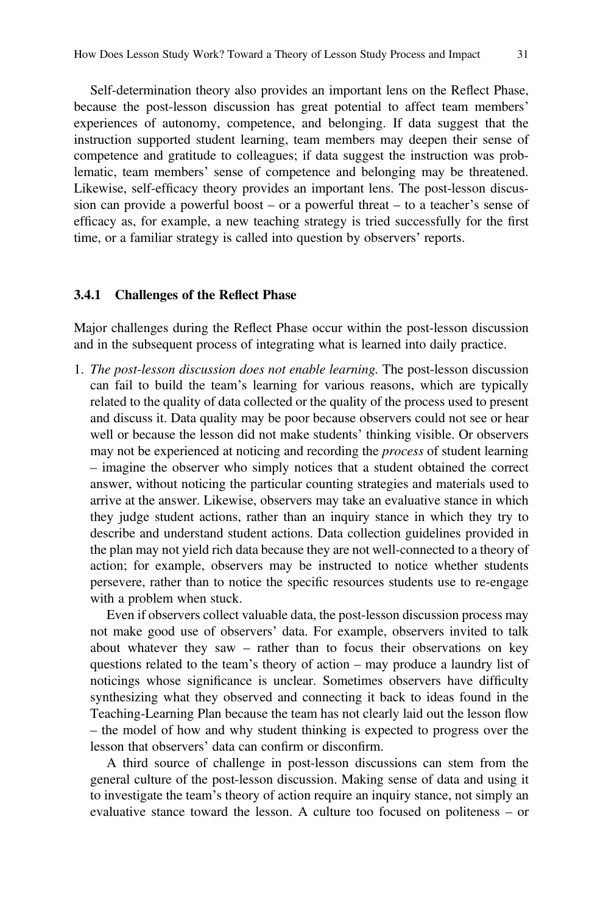Self-determination theory also provides an important lens on the Reflect Phase, because the post-lesson discussion has great potential to affect team members' experiences of autonomy, competence, and belonging. If data suggest that the instruction supported student learning, team members may deepen their sense of competence and gratitude to colleagues; if data suggest the instruction was problematic, team members' sense of competence and belonging may be threatened. Likewise, self-efficacy theory provides an important lens. The post-lesson discussion can provide a powerful boost – or a powerful threat – to a teacher's sense of efficacy as, for example, a new teaching strategy is tried successfully for the first time, or a familiar strategy is called into question by observers' reports.

#### 3.4.1 Challenges of the Reflect Phase

Major challenges during the Reflect Phase occur within the post-lesson discussion and in the subsequent process of integrating what is learned into daily practice.

1. The post-lesson discussion does not enable learning. The post-lesson discussion can fail to build the team's learning for various reasons, which are typically related to the quality of data collected or the quality of the process used to present and discuss it. Data quality may be poor because observers could not see or hear well or because the lesson did not make students' thinking visible. Or observers may not be experienced at noticing and recording the *process* of student learning – imagine the observer who simply notices that a student obtained the correct answer, without noticing the particular counting strategies and materials used to arrive at the answer. Likewise, observers may take an evaluative stance in which they judge student actions, rather than an inquiry stance in which they try to describe and understand student actions. Data collection guidelines provided in the plan may not yield rich data because they are not well-connected to a theory of action; for example, observers may be instructed to notice whether students persevere, rather than to notice the specific resources students use to re-engage with a problem when stuck.

Even if observers collect valuable data, the post-lesson discussion process may not make good use of observers' data. For example, observers invited to talk about whatever they saw – rather than to focus their observations on key questions related to the team's theory of action – may produce a laundry list of noticings whose significance is unclear. Sometimes observers have difficulty synthesizing what they observed and connecting it back to ideas found in the Teaching-Learning Plan because the team has not clearly laid out the lesson flow – the model of how and why student thinking is expected to progress over the lesson that observers' data can confirm or disconfirm.

A third source of challenge in post-lesson discussions can stem from the general culture of the post-lesson discussion. Making sense of data and using it to investigate the team's theory of action require an inquiry stance, not simply an evaluative stance toward the lesson. A culture too focused on politeness – or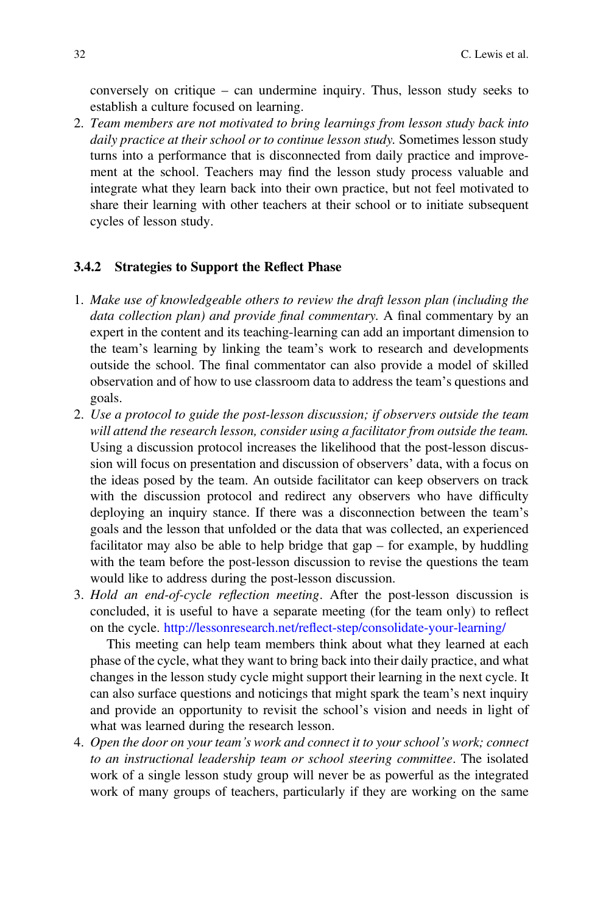conversely on critique – can undermine inquiry. Thus, lesson study seeks to establish a culture focused on learning.

2. Team members are not motivated to bring learnings from lesson study back into daily practice at their school or to continue lesson study. Sometimes lesson study turns into a performance that is disconnected from daily practice and improvement at the school. Teachers may find the lesson study process valuable and integrate what they learn back into their own practice, but not feel motivated to share their learning with other teachers at their school or to initiate subsequent cycles of lesson study.

#### 3.4.2 Strategies to Support the Reflect Phase

- 1. Make use of knowledgeable others to review the draft lesson plan (including the data collection plan) and provide final commentary. A final commentary by an expert in the content and its teaching-learning can add an important dimension to the team's learning by linking the team's work to research and developments outside the school. The final commentator can also provide a model of skilled observation and of how to use classroom data to address the team's questions and goals.
- 2. Use a protocol to guide the post-lesson discussion; if observers outside the team will attend the research lesson, consider using a facilitator from outside the team. Using a discussion protocol increases the likelihood that the post-lesson discussion will focus on presentation and discussion of observers' data, with a focus on the ideas posed by the team. An outside facilitator can keep observers on track with the discussion protocol and redirect any observers who have difficulty deploying an inquiry stance. If there was a disconnection between the team's goals and the lesson that unfolded or the data that was collected, an experienced facilitator may also be able to help bridge that gap – for example, by huddling with the team before the post-lesson discussion to revise the questions the team would like to address during the post-lesson discussion.
- 3. Hold an end-of-cycle reflection meeting. After the post-lesson discussion is concluded, it is useful to have a separate meeting (for the team only) to reflect on the cycle. http://lessonresearch.net/reflect-step/consolidate-your-learning/

This meeting can help team members think about what they learned at each phase of the cycle, what they want to bring back into their daily practice, and what changes in the lesson study cycle might support their learning in the next cycle. It can also surface questions and noticings that might spark the team's next inquiry and provide an opportunity to revisit the school's vision and needs in light of what was learned during the research lesson.

4. Open the door on your team's work and connect it to your school's work; connect to an instructional leadership team or school steering committee. The isolated work of a single lesson study group will never be as powerful as the integrated work of many groups of teachers, particularly if they are working on the same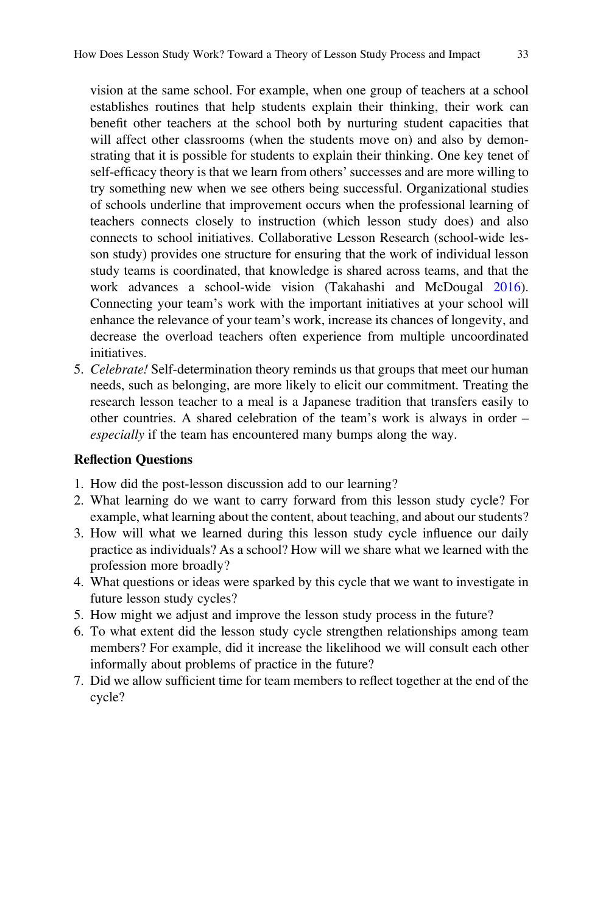vision at the same school. For example, when one group of teachers at a school establishes routines that help students explain their thinking, their work can benefit other teachers at the school both by nurturing student capacities that will affect other classrooms (when the students move on) and also by demonstrating that it is possible for students to explain their thinking. One key tenet of self-efficacy theory is that we learn from others' successes and are more willing to try something new when we see others being successful. Organizational studies of schools underline that improvement occurs when the professional learning of teachers connects closely to instruction (which lesson study does) and also connects to school initiatives. Collaborative Lesson Research (school-wide lesson study) provides one structure for ensuring that the work of individual lesson study teams is coordinated, that knowledge is shared across teams, and that the work advances a school-wide vision (Takahashi and McDougal 2016). Connecting your team's work with the important initiatives at your school will enhance the relevance of your team's work, increase its chances of longevity, and decrease the overload teachers often experience from multiple uncoordinated initiatives.

5. Celebrate! Self-determination theory reminds us that groups that meet our human needs, such as belonging, are more likely to elicit our commitment. Treating the research lesson teacher to a meal is a Japanese tradition that transfers easily to other countries. A shared celebration of the team's work is always in order – especially if the team has encountered many bumps along the way.

#### Reflection Questions

- 1. How did the post-lesson discussion add to our learning?
- 2. What learning do we want to carry forward from this lesson study cycle? For example, what learning about the content, about teaching, and about our students?
- 3. How will what we learned during this lesson study cycle influence our daily practice as individuals? As a school? How will we share what we learned with the profession more broadly?
- 4. What questions or ideas were sparked by this cycle that we want to investigate in future lesson study cycles?
- 5. How might we adjust and improve the lesson study process in the future?
- 6. To what extent did the lesson study cycle strengthen relationships among team members? For example, did it increase the likelihood we will consult each other informally about problems of practice in the future?
- 7. Did we allow sufficient time for team members to reflect together at the end of the cycle?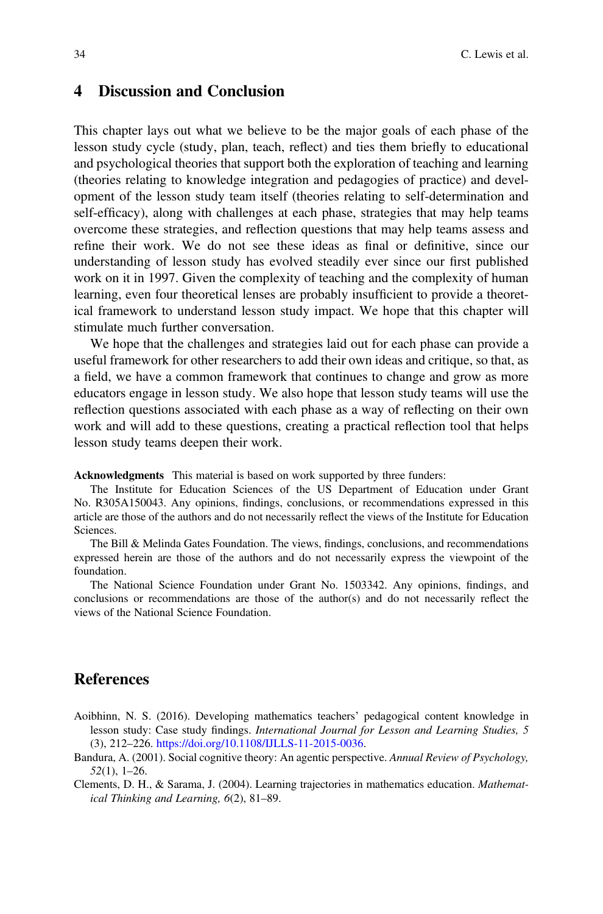# 4 Discussion and Conclusion

This chapter lays out what we believe to be the major goals of each phase of the lesson study cycle (study, plan, teach, reflect) and ties them briefly to educational and psychological theories that support both the exploration of teaching and learning (theories relating to knowledge integration and pedagogies of practice) and development of the lesson study team itself (theories relating to self-determination and self-efficacy), along with challenges at each phase, strategies that may help teams overcome these strategies, and reflection questions that may help teams assess and refine their work. We do not see these ideas as final or definitive, since our understanding of lesson study has evolved steadily ever since our first published work on it in 1997. Given the complexity of teaching and the complexity of human learning, even four theoretical lenses are probably insufficient to provide a theoretical framework to understand lesson study impact. We hope that this chapter will stimulate much further conversation.

We hope that the challenges and strategies laid out for each phase can provide a useful framework for other researchers to add their own ideas and critique, so that, as a field, we have a common framework that continues to change and grow as more educators engage in lesson study. We also hope that lesson study teams will use the reflection questions associated with each phase as a way of reflecting on their own work and will add to these questions, creating a practical reflection tool that helps lesson study teams deepen their work.

Acknowledgments This material is based on work supported by three funders:

The Institute for Education Sciences of the US Department of Education under Grant No. R305A150043. Any opinions, findings, conclusions, or recommendations expressed in this article are those of the authors and do not necessarily reflect the views of the Institute for Education Sciences.

The Bill & Melinda Gates Foundation. The views, findings, conclusions, and recommendations expressed herein are those of the authors and do not necessarily express the viewpoint of the foundation.

The National Science Foundation under Grant No. 1503342. Any opinions, findings, and conclusions or recommendations are those of the author(s) and do not necessarily reflect the views of the National Science Foundation.

### **References**

- Aoibhinn, N. S. (2016). Developing mathematics teachers' pedagogical content knowledge in lesson study: Case study findings. International Journal for Lesson and Learning Studies, 5 (3), 212–226. https://doi.org/10.1108/IJLLS-11-2015-0036.
- Bandura, A. (2001). Social cognitive theory: An agentic perspective. Annual Review of Psychology, 52(1), 1–26.
- Clements, D. H., & Sarama, J. (2004). Learning trajectories in mathematics education. Mathematical Thinking and Learning, 6(2), 81–89.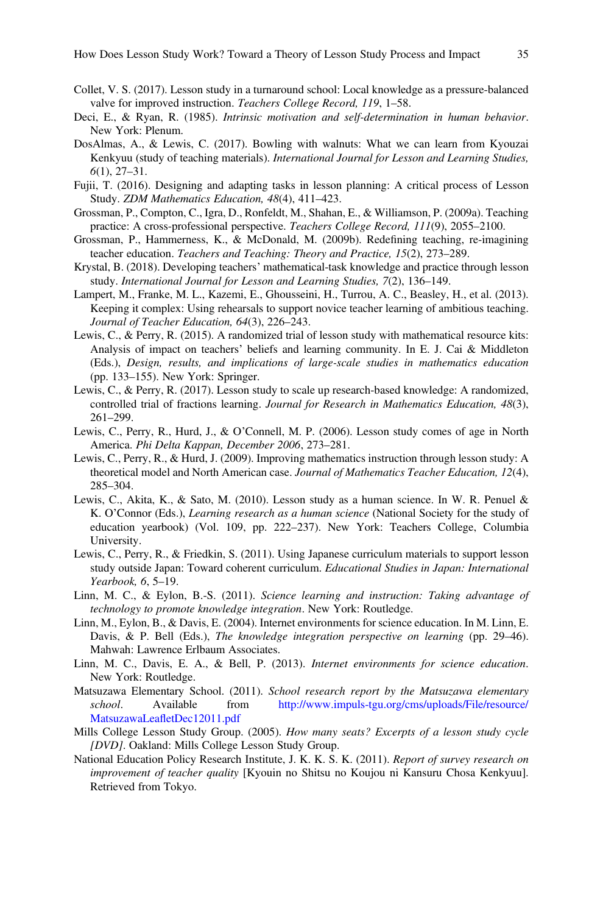- Collet, V. S. (2017). Lesson study in a turnaround school: Local knowledge as a pressure-balanced valve for improved instruction. Teachers College Record, 119, 1–58.
- Deci, E., & Ryan, R. (1985). Intrinsic motivation and self-determination in human behavior. New York: Plenum.
- DosAlmas, A., & Lewis, C. (2017). Bowling with walnuts: What we can learn from Kyouzai Kenkyuu (study of teaching materials). International Journal for Lesson and Learning Studies, 6(1), 27–31.
- Fujii, T. (2016). Designing and adapting tasks in lesson planning: A critical process of Lesson Study. ZDM Mathematics Education, 48(4), 411–423.
- Grossman, P., Compton, C., Igra, D., Ronfeldt, M., Shahan, E., & Williamson, P. (2009a). Teaching practice: A cross-professional perspective. Teachers College Record, 111(9), 2055–2100.
- Grossman, P., Hammerness, K., & McDonald, M. (2009b). Redefining teaching, re-imagining teacher education. Teachers and Teaching: Theory and Practice, 15(2), 273–289.
- Krystal, B. (2018). Developing teachers' mathematical-task knowledge and practice through lesson study. International Journal for Lesson and Learning Studies, 7(2), 136-149.
- Lampert, M., Franke, M. L., Kazemi, E., Ghousseini, H., Turrou, A. C., Beasley, H., et al. (2013). Keeping it complex: Using rehearsals to support novice teacher learning of ambitious teaching. Journal of Teacher Education, 64(3), 226–243.
- Lewis, C., & Perry, R. (2015). A randomized trial of lesson study with mathematical resource kits: Analysis of impact on teachers' beliefs and learning community. In E. J. Cai & Middleton (Eds.), Design, results, and implications of large-scale studies in mathematics education (pp. 133–155). New York: Springer.
- Lewis, C., & Perry, R. (2017). Lesson study to scale up research-based knowledge: A randomized, controlled trial of fractions learning. Journal for Research in Mathematics Education, 48(3), 261–299.
- Lewis, C., Perry, R., Hurd, J., & O'Connell, M. P. (2006). Lesson study comes of age in North America. Phi Delta Kappan, December 2006, 273–281.
- Lewis, C., Perry, R., & Hurd, J. (2009). Improving mathematics instruction through lesson study: A theoretical model and North American case. Journal of Mathematics Teacher Education, 12(4), 285–304.
- Lewis, C., Akita, K., & Sato, M. (2010). Lesson study as a human science. In W. R. Penuel & K. O'Connor (Eds.), Learning research as a human science (National Society for the study of education yearbook) (Vol. 109, pp. 222–237). New York: Teachers College, Columbia University.
- Lewis, C., Perry, R., & Friedkin, S. (2011). Using Japanese curriculum materials to support lesson study outside Japan: Toward coherent curriculum. Educational Studies in Japan: International Yearbook, 6, 5–19.
- Linn, M. C., & Eylon, B.-S. (2011). Science learning and instruction: Taking advantage of technology to promote knowledge integration. New York: Routledge.
- Linn, M., Eylon, B., & Davis, E. (2004). Internet environments for science education. In M. Linn, E. Davis, & P. Bell (Eds.), The knowledge integration perspective on learning (pp. 29-46). Mahwah: Lawrence Erlbaum Associates.
- Linn, M. C., Davis, E. A., & Bell, P. (2013). Internet environments for science education. New York: Routledge.
- Matsuzawa Elementary School. (2011). School research report by the Matsuzawa elementary school. Available from http://www.impuls-tgu.org/cms/uploads/File/resource/ MatsuzawaLeafletDec12011.pdf
- Mills College Lesson Study Group. (2005). How many seats? Excerpts of a lesson study cycle [DVD]. Oakland: Mills College Lesson Study Group.
- National Education Policy Research Institute, J. K. K. S. K. (2011). Report of survey research on improvement of teacher quality [Kyouin no Shitsu no Koujou ni Kansuru Chosa Kenkyuu]. Retrieved from Tokyo.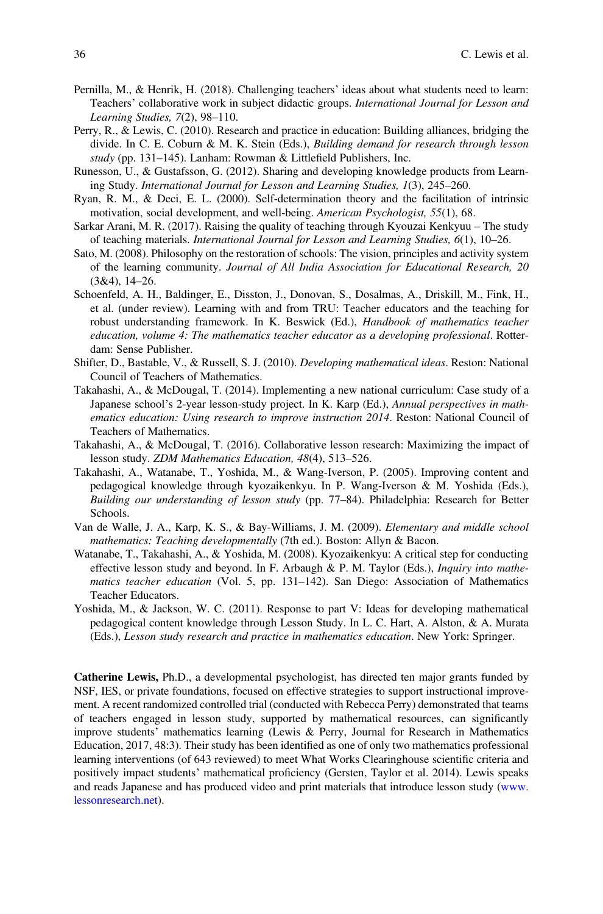- Pernilla, M., & Henrik, H. (2018). Challenging teachers' ideas about what students need to learn: Teachers' collaborative work in subject didactic groups. International Journal for Lesson and Learning Studies, 7(2), 98–110.
- Perry, R., & Lewis, C. (2010). Research and practice in education: Building alliances, bridging the divide. In C. E. Coburn & M. K. Stein (Eds.), Building demand for research through lesson study (pp. 131–145). Lanham: Rowman & Littlefield Publishers, Inc.
- Runesson, U., & Gustafsson, G. (2012). Sharing and developing knowledge products from Learning Study. International Journal for Lesson and Learning Studies, 1(3), 245–260.
- Ryan, R. M., & Deci, E. L. (2000). Self-determination theory and the facilitation of intrinsic motivation, social development, and well-being. American Psychologist, 55(1), 68.
- Sarkar Arani, M. R. (2017). Raising the quality of teaching through Kyouzai Kenkyuu The study of teaching materials. International Journal for Lesson and Learning Studies, 6(1), 10–26.
- Sato, M. (2008). Philosophy on the restoration of schools: The vision, principles and activity system of the learning community. Journal of All India Association for Educational Research, 20 (3&4), 14–26.
- Schoenfeld, A. H., Baldinger, E., Disston, J., Donovan, S., Dosalmas, A., Driskill, M., Fink, H., et al. (under review). Learning with and from TRU: Teacher educators and the teaching for robust understanding framework. In K. Beswick (Ed.), Handbook of mathematics teacher education, volume 4: The mathematics teacher educator as a developing professional. Rotterdam: Sense Publisher.
- Shifter, D., Bastable, V., & Russell, S. J. (2010). Developing mathematical ideas. Reston: National Council of Teachers of Mathematics.
- Takahashi, A., & McDougal, T. (2014). Implementing a new national curriculum: Case study of a Japanese school's 2-year lesson-study project. In K. Karp (Ed.), Annual perspectives in mathematics education: Using research to improve instruction 2014. Reston: National Council of Teachers of Mathematics.
- Takahashi, A., & McDougal, T. (2016). Collaborative lesson research: Maximizing the impact of lesson study. ZDM Mathematics Education, 48(4), 513–526.
- Takahashi, A., Watanabe, T., Yoshida, M., & Wang-Iverson, P. (2005). Improving content and pedagogical knowledge through kyozaikenkyu. In P. Wang-Iverson & M. Yoshida (Eds.), Building our understanding of lesson study (pp. 77–84). Philadelphia: Research for Better Schools.
- Van de Walle, J. A., Karp, K. S., & Bay-Williams, J. M. (2009). Elementary and middle school mathematics: Teaching developmentally (7th ed.). Boston: Allyn & Bacon.
- Watanabe, T., Takahashi, A., & Yoshida, M. (2008). Kyozaikenkyu: A critical step for conducting effective lesson study and beyond. In F. Arbaugh & P. M. Taylor (Eds.), *Inquiry into mathe*matics teacher education (Vol. 5, pp. 131–142). San Diego: Association of Mathematics Teacher Educators.
- Yoshida, M., & Jackson, W. C. (2011). Response to part V: Ideas for developing mathematical pedagogical content knowledge through Lesson Study. In L. C. Hart, A. Alston, & A. Murata (Eds.), Lesson study research and practice in mathematics education. New York: Springer.

Catherine Lewis, Ph.D., a developmental psychologist, has directed ten major grants funded by NSF, IES, or private foundations, focused on effective strategies to support instructional improvement. A recent randomized controlled trial (conducted with Rebecca Perry) demonstrated that teams of teachers engaged in lesson study, supported by mathematical resources, can significantly improve students' mathematics learning (Lewis & Perry, Journal for Research in Mathematics Education, 2017, 48:3). Their study has been identified as one of only two mathematics professional learning interventions (of 643 reviewed) to meet What Works Clearinghouse scientific criteria and positively impact students' mathematical proficiency (Gersten, Taylor et al. 2014). Lewis speaks and reads Japanese and has produced video and print materials that introduce lesson study (www. lessonresearch.net).